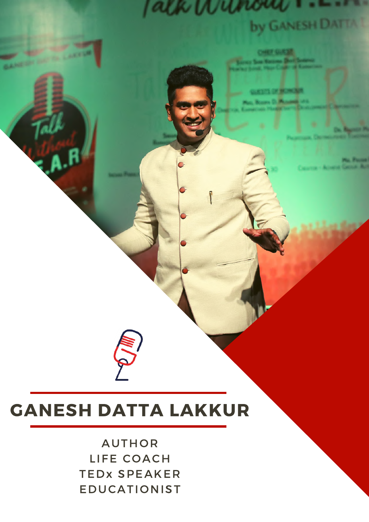# $1644$ by GANESH DATTA I

# **GANESH DATTA LAKKUR**

F)

**AUTHOR** LIFE COACH **TEDX SPEAKER EDUCATIONIST**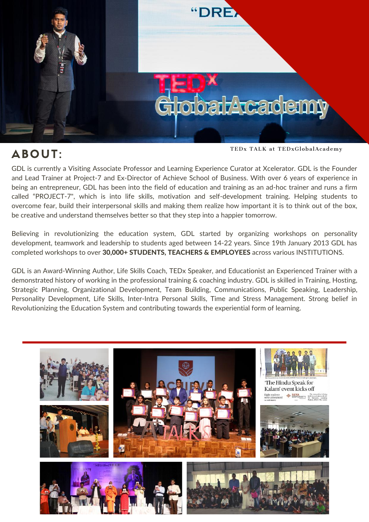

# ABOUT:

TEDx TALK at TEDxGlobalAcademy

GDL is currently a Visiting Associate Professor and Learning Experience Curator at Xcelerator. GDL is the Founder and Lead Trainer at Project-7 and Ex-Director of Achieve School of Business. With over 6 years of experience in being an entrepreneur, GDL has been into the field of education and training as an ad-hoc trainer and runs a firm called "PROJECT-7", which is into life skills, motivation and self-development training. Helping students to overcome fear, build their interpersonal skills and making them realize how important it is to think out of the box, be creative and understand themselves better so that they step into a happier tomorrow.

Believing in revolutionizing the education system, GDL started by organizing workshops on personality development, teamwork and leadership to students aged between 14-22 years. Since 19th January 2013 GDL has completed workshops to over 30,000+ STUDENTS, TEACHERS & EMPLOYEES across various INSTITUTIONS.

GDL is an Award-Winning Author, Life Skills Coach, TEDx Speaker, and Educationist an Experienced Trainer with a demonstrated history of working in the professional training & coaching industry. GDL is skilled in Training, Hosting, Strategic Planning, Organizational Development, Team Building, Communications, Public Speaking, Leadership, Personality Development, Life Skills, Inter-Intra Personal Skills, Time and Stress Management. Strong belief in Revolutionizing the Education System and contributing towards the experiential form of learning.

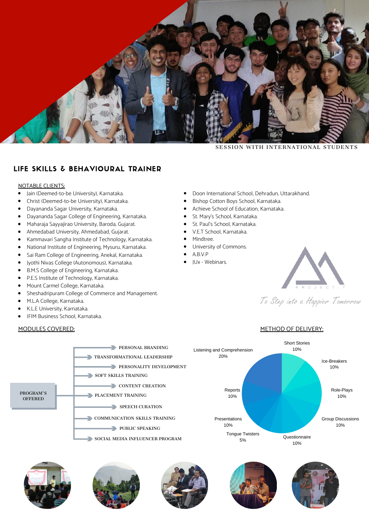

SESSION WITH INTERNATIONAL STUDENTS

### LIFE SKILLS & BEHAVIOURAL TRAINER

#### NOTABLE CLIENTS:

- Jain (Deemed-to-be University), Karnataka.  $\bullet$
- Christ (Deemed-to-be University), Karnataka.
- $\bullet$ Dayananda Sagar University, Karnataka.
- Dayananda Sagar College of Engineering, Karnataka.  $\bullet$
- $\bullet$ Maharaja Sayyajirao University, Baroda, Gujarat.
- $\bullet$ Ahmedabad University, Ahmedabad, Gujarat.
- $\bullet$ Kammavari Sangha Institute of Technology, Karnataka.
- $\bullet$ National Institute of Engineering, Mysuru, Karnataka.
- $\bullet$ Sai Ram College of Engineering, Anekal, Karnataka.
- $\bullet$ Jyothi Nivas College (Autonomous), Karnataka.
- $\bullet$ B.M.S College of Engineering, Karnataka.
- P.E.S Institute of Technology, Karnataka.  $\bullet$
- Mount Carmel College, Karnataka.
- Sheshadripuram College of Commerce and Management.
- M.L.A College, Karnataka.
- K.L.E University, Karnataka.
- $\bullet$ IFIM Business School, Karnataka.

#### MODULES COVERED:

- Doon International School, Dehradun, Uttarakhand.  $\bullet$
- Bishop Cotton Boys School, Karnataka.
- Achieve School of Education, Karnataka.  $\bullet$
- St. Mary's School, Karnataka.  $\bullet$
- St. Paul's School, Karnataka.  $\bullet$
- V.E.T School, Karnataka.
- Mindtree.
	- University of Commons.
	- A.B.V.P
	- JUx Webinars.



To Step into a Happier Tomorrow

#### METHOD OF DELIVERY: